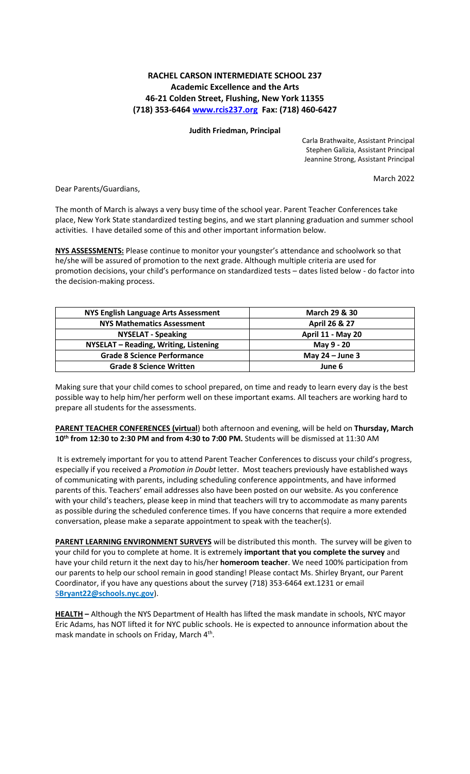## **RACHEL CARSON INTERMEDIATE SCHOOL 237 Academic Excellence and the Arts 46-21 Colden Street, Flushing, New York 11355 (718) 353-646[4 www.rcis237.org](about:blank) Fax: (718) 460-6427**

## **Judith Friedman, Principal**

Carla Brathwaite, Assistant Principal Stephen Galizia, Assistant Principal Jeannine Strong, Assistant Principal

March 2022

Dear Parents/Guardians,

The month of March is always a very busy time of the school year. Parent Teacher Conferences take place, New York State standardized testing begins, and we start planning graduation and summer school activities. I have detailed some of this and other important information below.

**NYS ASSESSMENTS:** Please continue to monitor your youngster's attendance and schoolwork so that he/she will be assured of promotion to the next grade. Although multiple criteria are used for promotion decisions, your child's performance on standardized tests – dates listed below - do factor into the decision-making process.

| NYS English Language Arts Assessment  | <b>March 29 &amp; 30</b> |
|---------------------------------------|--------------------------|
| <b>NYS Mathematics Assessment</b>     | April 26 & 27            |
| <b>NYSELAT - Speaking</b>             | <b>April 11 - May 20</b> |
| NYSELAT - Reading, Writing, Listening | May 9 - 20               |
| <b>Grade 8 Science Performance</b>    | May $24 -$ June 3        |
| <b>Grade 8 Science Written</b>        | June 6                   |

Making sure that your child comes to school prepared, on time and ready to learn every day is the best possible way to help him/her perform well on these important exams. All teachers are working hard to prepare all students for the assessments.

**PARENT TEACHER CONFERENCES (virtual**) both afternoon and evening, will be held on **Thursday, March 10th from 12:30 to 2:30 PM and from 4:30 to 7:00 PM.** Students will be dismissed at 11:30 AM

It is extremely important for you to attend Parent Teacher Conferences to discuss your child's progress, especially if you received a *Promotion in Doubt* letter. Most teachers previously have established ways of communicating with parents, including scheduling conference appointments, and have informed parents of this. Teachers' email addresses also have been posted on our website. As you conference with your child's teachers, please keep in mind that teachers will try to accommodate as many parents as possible during the scheduled conference times. If you have concerns that require a more extended conversation, please make a separate appointment to speak with the teacher(s).

**PARENT LEARNING ENVIRONMENT SURVEYS** will be distributed this month. The survey will be given to your child for you to complete at home. It is extremely **important that you complete the survey** and have your child return it the next day to his/her **homeroom teacher**. We need 100% participation from our parents to help our school remain in good standing! Please contact Ms. Shirley Bryant, our Parent Coordinator, if you have any questions about the survey (718) 353-6464 ext.1231 or email **SBryan[t22@schools.nyc.gov](about:blank)**).

**HEALTH –** Although the NYS Department of Health has lifted the mask mandate in schools, NYC mayor Eric Adams, has NOT lifted it for NYC public schools. He is expected to announce information about the mask mandate in schools on Friday, March 4<sup>th</sup>.